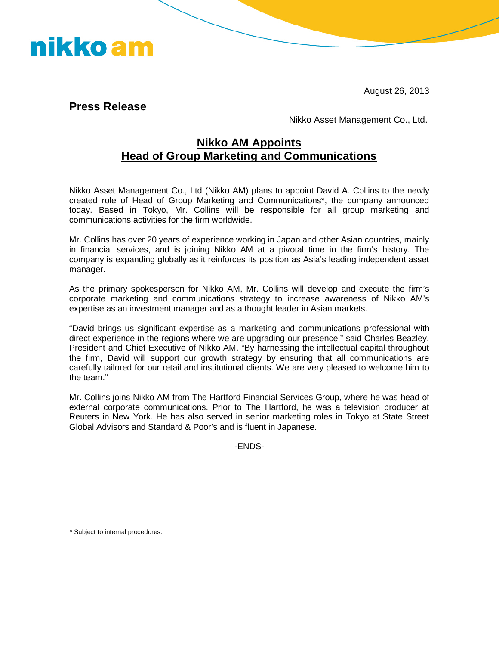August 26, 2013

**Press Release** 

nikko am

Nikko Asset Management Co., Ltd.

## **Nikko AM Appoints Head of Group Marketing and Communications**

Nikko Asset Management Co., Ltd (Nikko AM) plans to appoint David A. Collins to the newly created role of Head of Group Marketing and Communications\*, the company announced today. Based in Tokyo, Mr. Collins will be responsible for all group marketing and communications activities for the firm worldwide.

Mr. Collins has over 20 years of experience working in Japan and other Asian countries, mainly in financial services, and is joining Nikko AM at a pivotal time in the firm's history. The company is expanding globally as it reinforces its position as Asia's leading independent asset manager.

As the primary spokesperson for Nikko AM, Mr. Collins will develop and execute the firm's corporate marketing and communications strategy to increase awareness of Nikko AM's expertise as an investment manager and as a thought leader in Asian markets.

"David brings us significant expertise as a marketing and communications professional with direct experience in the regions where we are upgrading our presence," said Charles Beazley, President and Chief Executive of Nikko AM. "By harnessing the intellectual capital throughout the firm, David will support our growth strategy by ensuring that all communications are carefully tailored for our retail and institutional clients. We are very pleased to welcome him to the team."

Mr. Collins joins Nikko AM from The Hartford Financial Services Group, where he was head of external corporate communications. Prior to The Hartford, he was a television producer at Reuters in New York. He has also served in senior marketing roles in Tokyo at State Street Global Advisors and Standard & Poor's and is fluent in Japanese.

-ENDS-

\* Subject to internal procedures.